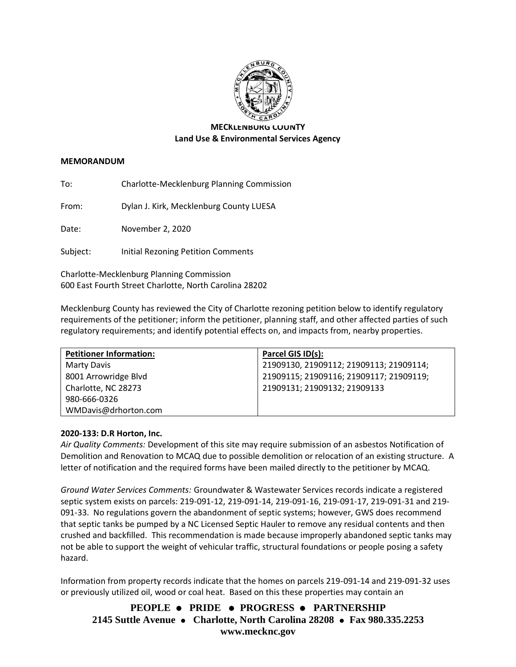

# **MECKLENBURG COUNTY Land Use & Environmental Services Agency**

#### **MEMORANDUM**

To: Charlotte-Mecklenburg Planning Commission

From: Dylan J. Kirk, Mecklenburg County LUESA

Date: November 2, 2020

Subject: Initial Rezoning Petition Comments

Charlotte-Mecklenburg Planning Commission 600 East Fourth Street Charlotte, North Carolina 28202

Mecklenburg County has reviewed the City of Charlotte rezoning petition below to identify regulatory requirements of the petitioner; inform the petitioner, planning staff, and other affected parties of such regulatory requirements; and identify potential effects on, and impacts from, nearby properties.

| <b>Petitioner Information:</b> | Parcel GIS ID(s):                       |
|--------------------------------|-----------------------------------------|
| Marty Davis                    | 21909130, 21909112; 21909113; 21909114; |
| 8001 Arrowridge Blvd           | 21909115; 21909116; 21909117; 21909119; |
| Charlotte, NC 28273            | 21909131; 21909132; 21909133            |
| 980-666-0326                   |                                         |
| WMDavis@drhorton.com           |                                         |

### **2020-133: D.R Horton, Inc.**

*Air Quality Comments:* Development of this site may require submission of an asbestos Notification of Demolition and Renovation to MCAQ due to possible demolition or relocation of an existing structure. A letter of notification and the required forms have been mailed directly to the petitioner by MCAQ.

*Ground Water Services Comments:* Groundwater & Wastewater Services records indicate a registered septic system exists on parcels: 219-091-12, 219-091-14, 219-091-16, 219-091-17, 219-091-31 and 219- 091-33. No regulations govern the abandonment of septic systems; however, GWS does recommend that septic tanks be pumped by a NC Licensed Septic Hauler to remove any residual contents and then crushed and backfilled. This recommendation is made because improperly abandoned septic tanks may not be able to support the weight of vehicular traffic, structural foundations or people posing a safety hazard.

Information from property records indicate that the homes on parcels 219-091-14 and 219-091-32 uses or previously utilized oil, wood or coal heat. Based on this these properties may contain an

**PEOPLE** ⚫ **PRIDE** ⚫ **PROGRESS** ⚫ **PARTNERSHIP 2145 Suttle Avenue** ⚫ **Charlotte, North Carolina 28208** ⚫ **Fax 980.335.2253 www.mecknc.gov**